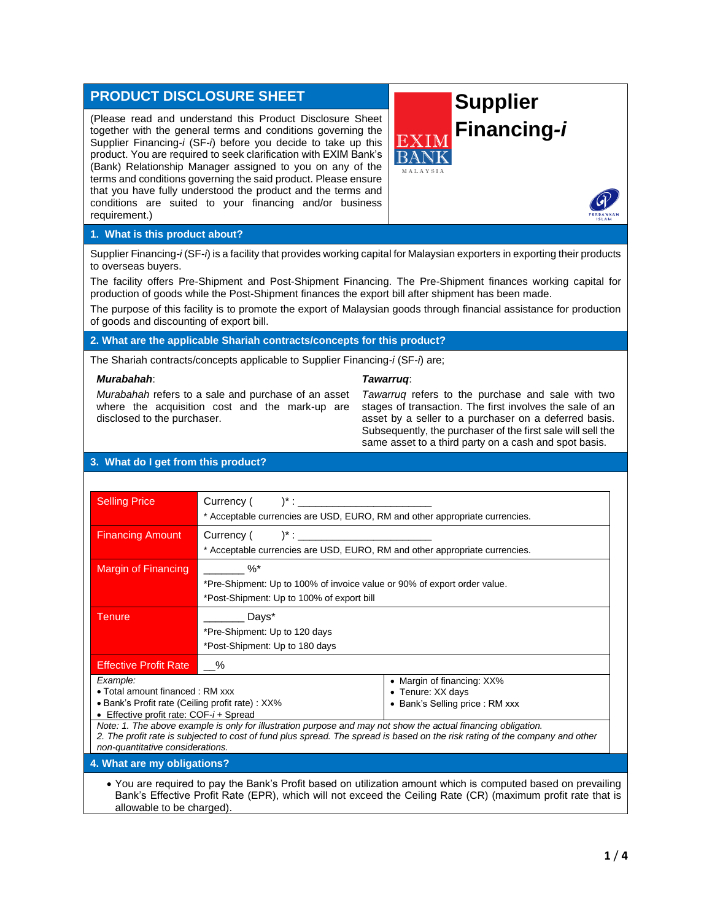# **PRODUCT DISCLOSURE SHEET**

(Please read and understand this Product Disclosure Sheet together with the general terms and conditions governing the Supplier Financing*-i* (SF*-i*) before you decide to take up this product. You are required to seek clarification with EXIM Bank's (Bank) Relationship Manager assigned to you on any of the terms and conditions governing the said product. Please ensure that you have fully understood the product and the terms and conditions are suited to your financing and/or business requirement.)





### **1. What is this product about?**

Supplier Financing*-i* (SF*-i*) is a facility that provides working capital for Malaysian exporters in exporting their products to overseas buyers.

The facility offers Pre-Shipment and Post-Shipment Financing. The Pre-Shipment finances working capital for production of goods while the Post-Shipment finances the export bill after shipment has been made.

The purpose of this facility is to promote the export of Malaysian goods through financial assistance for production of goods and discounting of export bill.

# **2. What are the applicable Shariah contracts/concepts for this product?**

The Shariah contracts/concepts applicable to Supplier Financing*-i* (SF*-i*) are;

#### *Murabahah*:

#### *Tawarruq*:

*Murabahah* refers to a sale and purchase of an asset where the acquisition cost and the mark-up are disclosed to the purchaser.

*Tawarruq* refers to the purchase and sale with two stages of transaction. The first involves the sale of an asset by a seller to a purchaser on a deferred basis. Subsequently, the purchaser of the first sale will sell the same asset to a third party on a cash and spot basis.

# **3. What do I get from this product?**

| <b>Selling Price</b>                                                                                                                                                                                                                          | $Current($ $)^{*}:$                                                         |                            |  |
|-----------------------------------------------------------------------------------------------------------------------------------------------------------------------------------------------------------------------------------------------|-----------------------------------------------------------------------------|----------------------------|--|
|                                                                                                                                                                                                                                               | * Acceptable currencies are USD, EURO, RM and other appropriate currencies. |                            |  |
| <b>Financing Amount</b>                                                                                                                                                                                                                       | $Current($ $)^{*}:$                                                         |                            |  |
|                                                                                                                                                                                                                                               | * Acceptable currencies are USD, EURO, RM and other appropriate currencies. |                            |  |
| Margin of Financing                                                                                                                                                                                                                           | $\%^*$                                                                      |                            |  |
|                                                                                                                                                                                                                                               | *Pre-Shipment: Up to 100% of invoice value or 90% of export order value.    |                            |  |
|                                                                                                                                                                                                                                               | *Post-Shipment: Up to 100% of export bill                                   |                            |  |
| <b>Tenure</b>                                                                                                                                                                                                                                 | Days*                                                                       |                            |  |
|                                                                                                                                                                                                                                               | *Pre-Shipment: Up to 120 days                                               |                            |  |
|                                                                                                                                                                                                                                               | *Post-Shipment: Up to 180 days                                              |                            |  |
| <b>Effective Profit Rate</b>                                                                                                                                                                                                                  | $\%$                                                                        |                            |  |
| Example:                                                                                                                                                                                                                                      |                                                                             | • Margin of financing: XX% |  |
| • Total amount financed: RM xxx                                                                                                                                                                                                               |                                                                             | • Tenure: XX days          |  |
| • Bank's Profit rate (Ceiling profit rate) : XX%<br>• Bank's Selling price: RM xxx                                                                                                                                                            |                                                                             |                            |  |
| • Effective profit rate: $COF-i+Spread$                                                                                                                                                                                                       |                                                                             |                            |  |
| Note: 1. The above example is only for illustration purpose and may not show the actual financing obligation.<br>2. The profit rate is subjected to cost of fund plus spread. The spread is based on the risk rating of the company and other |                                                                             |                            |  |
| non-quantitative considerations.                                                                                                                                                                                                              |                                                                             |                            |  |
| 4. What are my obligations?                                                                                                                                                                                                                   |                                                                             |                            |  |

• You are required to pay the Bank's Profit based on utilization amount which is computed based on prevailing Bank's Effective Profit Rate (EPR), which will not exceed the Ceiling Rate (CR) (maximum profit rate that is allowable to be charged).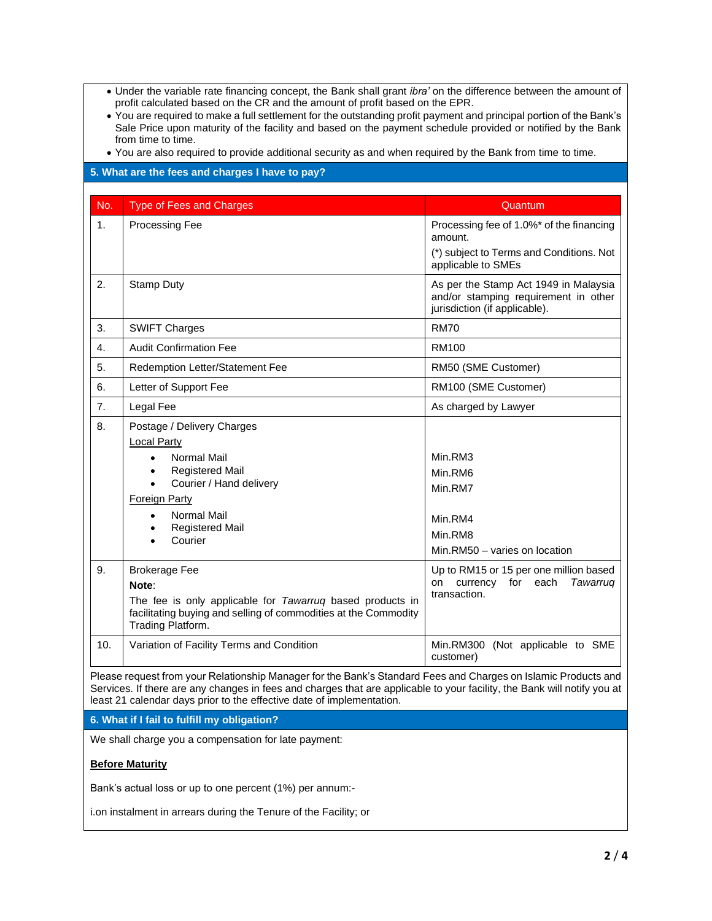- Under the variable rate financing concept, the Bank shall grant *ibra'* on the difference between the amount of profit calculated based on the CR and the amount of profit based on the EPR.
- You are required to make a full settlement for the outstanding profit payment and principal portion of the Bank's Sale Price upon maturity of the facility and based on the payment schedule provided or notified by the Bank from time to time.

• You are also required to provide additional security as and when required by the Bank from time to time.

### No. Type of Fees and Charges **Contract Charges** Cuantum **No.** 2014 1. Processing Fee Processing Fee Processing fee of 1.0%\* of the financing amount. (\*) subject to Terms and Conditions. Not applicable to SMEs 2. Stamp Duty Stamp Stamp Act 1949 in Malaysia and/or stamping requirement in other jurisdiction (if applicable). 3. SWIFT Charges RM70 4. Audit Confirmation Fee All 2008 and The RM100 5. Redemption Letter/Statement Fee RM50 (SME Customer) 6. Letter of Support Fee RM100 (SME Customer) 7. Legal Fee As charged by Lawyer 8. Postage / Delivery Charges Local Party • Normal Mail Registered Mail • Courier / Hand delivery Foreign Party • Normal Mail • Registered Mail • Courier Min.RM3 Min.RM6 Min.RM7 Min.RM4 Min.RM8 Min.RM50 – varies on location 9. Brokerage Fee **Note**: The fee is only applicable for *Tawarruq* based products in facilitating buying and selling of commodities at the Commodity Trading Platform. Up to RM15 or 15 per one million based on currency for each *Tawarruq* transaction. 10. Variation of Facility Terms and Condition Mines All Min.RM300 (Not applicable to SME customer)

Please request from your Relationship Manager for the Bank's Standard Fees and Charges on Islamic Products and Services. If there are any changes in fees and charges that are applicable to your facility, the Bank will notify you at least 21 calendar days prior to the effective date of implementation.

**6. What if I fail to fulfill my obligation?**

We shall charge you a compensation for late payment:

**5. What are the fees and charges I have to pay?**

### **Before Maturity**

Bank's actual loss or up to one percent (1%) per annum:-

i.on instalment in arrears during the Tenure of the Facility; or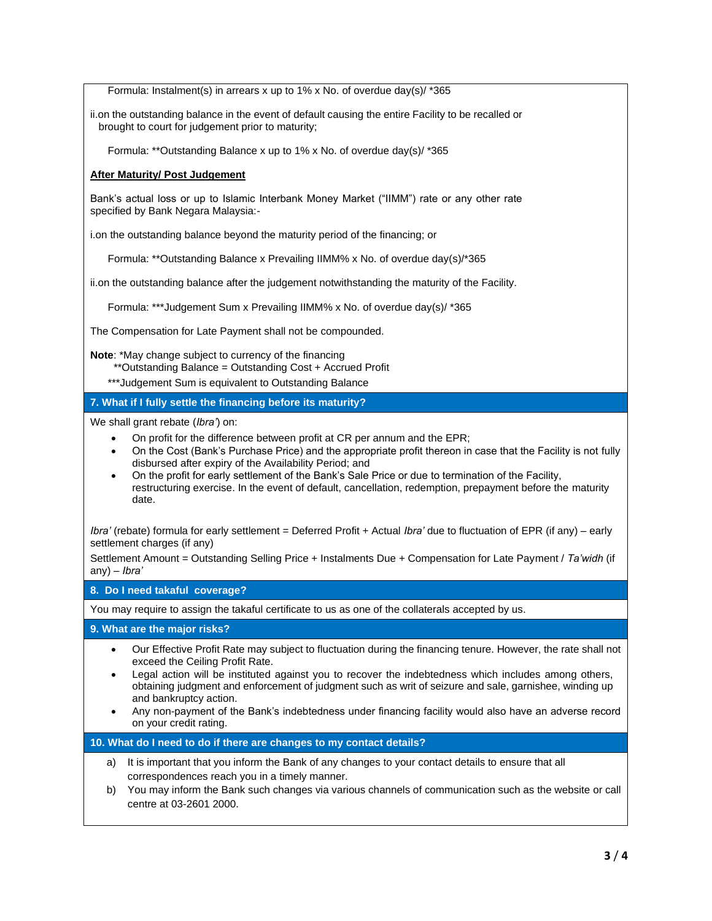Formula: Instalment(s) in arrears x up to 1% x No. of overdue day(s)/ \*365

ii.on the outstanding balance in the event of default causing the entire Facility to be recalled or brought to court for judgement prior to maturity;

Formula: \*\*Outstanding Balance x up to 1% x No. of overdue day(s)/ \*365

# **After Maturity/ Post Judgement**

Bank's actual loss or up to Islamic Interbank Money Market ("IIMM") rate or any other rate specified by Bank Negara Malaysia:-

i.on the outstanding balance beyond the maturity period of the financing; or

Formula: \*\*Outstanding Balance x Prevailing IIMM% x No. of overdue day(s)/\*365

ii.on the outstanding balance after the judgement notwithstanding the maturity of the Facility.

Formula: \*\*\*Judgement Sum x Prevailing IIMM% x No. of overdue day(s)/ \*365

The Compensation for Late Payment shall not be compounded.

**Note**: \*May change subject to currency of the financing

- \*\*Outstanding Balance = Outstanding Cost + Accrued Profit
- \*\*\*Judgement Sum is equivalent to Outstanding Balance

**7. What if I fully settle the financing before its maturity?**

We shall grant rebate (*Ibra'*) on:

- On profit for the difference between profit at CR per annum and the EPR;
- On the Cost (Bank's Purchase Price) and the appropriate profit thereon in case that the Facility is not fully disbursed after expiry of the Availability Period; and
- On the profit for early settlement of the Bank's Sale Price or due to termination of the Facility, restructuring exercise. In the event of default, cancellation, redemption, prepayment before the maturity date.

*Ibra'* (rebate) formula for early settlement = Deferred Profit + Actual *Ibra'* due to fluctuation of EPR (if any) – early settlement charges (if any)

Settlement Amount = Outstanding Selling Price + Instalments Due + Compensation for Late Payment / *Ta'widh* (if any) – *Ibra'* 

**8. Do I need takaful coverage?**

You may require to assign the takaful certificate to us as one of the collaterals accepted by us.

**9. What are the major risks?**

- Our Effective Profit Rate may subject to fluctuation during the financing tenure. However, the rate shall not exceed the Ceiling Profit Rate.
- Legal action will be instituted against you to recover the indebtedness which includes among others, obtaining judgment and enforcement of judgment such as writ of seizure and sale, garnishee, winding up and bankruptcy action.
- Any non-payment of the Bank's indebtedness under financing facility would also have an adverse record on your credit rating.

**10. What do I need to do if there are changes to my contact details?**

- a) It is important that you inform the Bank of any changes to your contact details to ensure that all correspondences reach you in a timely manner.
- b) You may inform the Bank such changes via various channels of communication such as the website or call centre at 03-2601 2000.